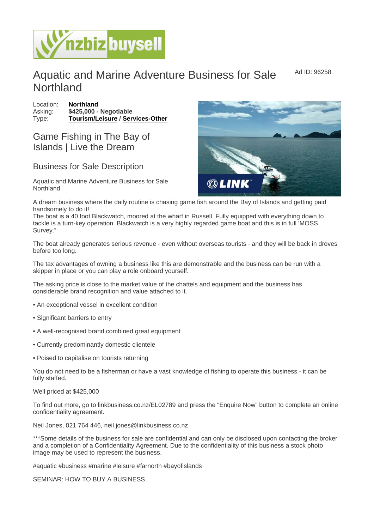## Aquatic and Marine Adventure Business for Sale **Northland**

Location: [Northland](https://www.nzbizbuysell.co.nz/businesses-for-sale/location/Northland) Asking:  $\sqrt{3425,000}$  - Negotiable Type: [Tourism/Leisure](https://www.nzbizbuysell.co.nz/businesses-for-sale/Tourism--Leisure/New-Zealand) / [Services-Other](https://www.nzbizbuysell.co.nz/businesses-for-sale/Services/New-Zealand)

## Game Fishing in The Bay of Islands | Live the Dream

## Business for Sale Description

Aquatic and Marine Adventure Business for Sale Northland

A dream business where the daily routine is chasing game fish around the Bay of Islands and getting paid handsomely to do it!

The boat is a 40 foot Blackwatch, moored at the wharf in Russell. Fully equipped with everything down to tackle is a turn-key operation. Blackwatch is a very highly regarded game boat and this is in full 'MOSS Survey."

The boat already generates serious revenue - even without overseas tourists - and they will be back in droves before too long.

The tax advantages of owning a business like this are demonstrable and the business can be run with a skipper in place or you can play a role onboard yourself.

The asking price is close to the market value of the chattels and equipment and the business has considerable brand recognition and value attached to it.

- An exceptional vessel in excellent condition
- Significant barriers to entry
- A well-recognised brand combined great equipment
- Currently predominantly domestic clientele
- Poised to capitalise on tourists returning

You do not need to be a fisherman or have a vast knowledge of fishing to operate this business - it can be fully staffed.

Well priced at \$425,000

To find out more, go to linkbusiness.co.nz/EL02789 and press the "Enquire Now" button to complete an online confidentiality agreement.

Neil Jones, 021 764 446, neil.jones@linkbusiness.co.nz

\*\*\*Some details of the business for sale are confidential and can only be disclosed upon contacting the broker and a completion of a Confidentiality Agreement. Due to the confidentiality of this business a stock photo image may be used to represent the business.

#aquatic #business #marine #leisure #farnorth #bayofislands

SEMINAR: HOW TO BUY A BUSINESS